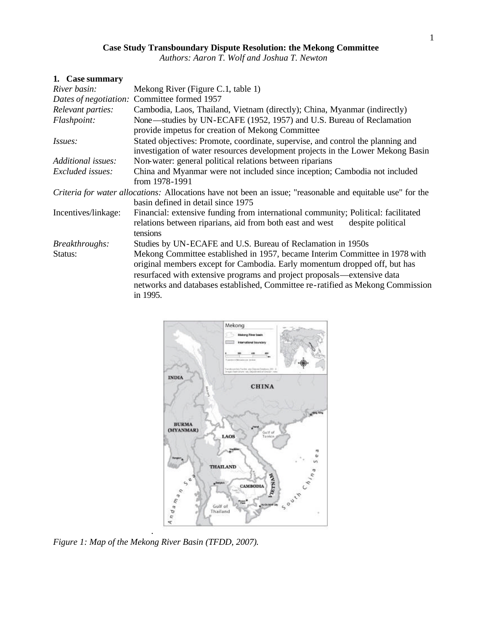# **Case Study Transboundary Dispute Resolution: the Mekong Committee**

*Authors: Aaron T. Wolf and Joshua T. Newton*

# **1. Case summary**

| River basin:        | Mekong River (Figure C.1, table 1)                                                                                                                                                                                                                                                                                                |  |  |  |  |  |
|---------------------|-----------------------------------------------------------------------------------------------------------------------------------------------------------------------------------------------------------------------------------------------------------------------------------------------------------------------------------|--|--|--|--|--|
|                     | Dates of negotiation: Committee formed 1957                                                                                                                                                                                                                                                                                       |  |  |  |  |  |
| Relevant parties:   | Cambodia, Laos, Thailand, Vietnam (directly); China, Myanmar (indirectly)                                                                                                                                                                                                                                                         |  |  |  |  |  |
| Flashpoint:         | None—studies by UN-ECAFE (1952, 1957) and U.S. Bureau of Reclamation<br>provide impetus for creation of Mekong Committee                                                                                                                                                                                                          |  |  |  |  |  |
| <i>Issues:</i>      | Stated objectives: Promote, coordinate, supervise, and control the planning and<br>investigation of water resources development projects in the Lower Mekong Basin                                                                                                                                                                |  |  |  |  |  |
| Additional issues:  | Non-water: general political relations between riparians                                                                                                                                                                                                                                                                          |  |  |  |  |  |
| Excluded issues:    | China and Myanmar were not included since inception; Cambodia not included<br>from 1978-1991                                                                                                                                                                                                                                      |  |  |  |  |  |
|                     | <i>Criteria for water allocations:</i> Allocations have not been an issue; "reasonable and equitable use" for the<br>basin defined in detail since 1975                                                                                                                                                                           |  |  |  |  |  |
| Incentives/linkage: | Financial: extensive funding from international community; Political: facilitated<br>relations between riparians, aid from both east and west<br>despite political<br>tensions                                                                                                                                                    |  |  |  |  |  |
| Breakthroughs:      | Studies by UN-ECAFE and U.S. Bureau of Reclamation in 1950s                                                                                                                                                                                                                                                                       |  |  |  |  |  |
| Status:             | Mekong Committee established in 1957, became Interim Committee in 1978 with<br>original members except for Cambodia. Early momentum dropped off, but has<br>resurfaced with extensive programs and project proposals—extensive data<br>networks and databases established, Committee re-ratified as Mekong Commission<br>in 1995. |  |  |  |  |  |



. *Figure 1: Map of the Mekong River Basin (TFDD, 2007).*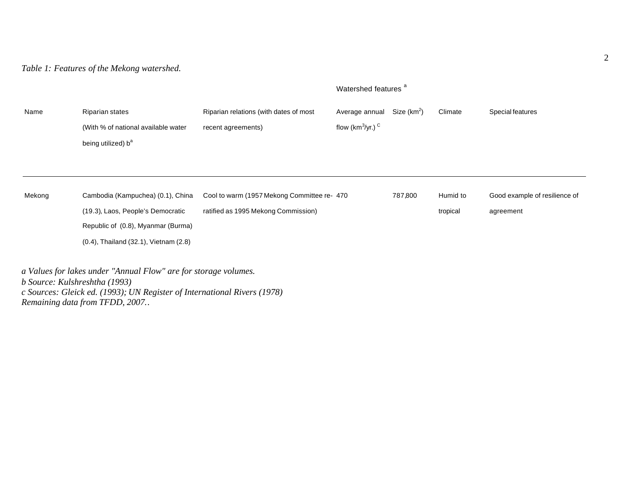*Table 1: Features of the Mekong watershed.*

|        |                                                                                                                                                                                                                |                                                              | Watershed features <sup>a</sup>               |                         |          |                               |
|--------|----------------------------------------------------------------------------------------------------------------------------------------------------------------------------------------------------------------|--------------------------------------------------------------|-----------------------------------------------|-------------------------|----------|-------------------------------|
| Name   | <b>Riparian states</b><br>(With % of national available water<br>being utilized) b <sup>a</sup>                                                                                                                | Riparian relations (with dates of most<br>recent agreements) | Average annual<br>flow ( $km^3$ /yr.) $\circ$ | Size (km <sup>2</sup> ) | Climate  | Special features              |
|        |                                                                                                                                                                                                                |                                                              |                                               |                         |          |                               |
| Mekong | Cambodia (Kampuchea) (0.1), China                                                                                                                                                                              | Cool to warm (1957 Mekong Committee re- 470                  |                                               | 787,800                 | Humid to | Good example of resilience of |
|        | (19.3), Laos, People's Democratic                                                                                                                                                                              | ratified as 1995 Mekong Commission)                          |                                               |                         | tropical | agreement                     |
|        | Republic of (0.8), Myanmar (Burma)                                                                                                                                                                             |                                                              |                                               |                         |          |                               |
|        | $(0.4)$ , Thailand $(32.1)$ , Vietnam $(2.8)$                                                                                                                                                                  |                                                              |                                               |                         |          |                               |
|        | a Values for lakes under "Annual Flow" are for storage volumes.<br>b Source: Kulshreshtha (1993)<br>c Sources: Gleick ed. (1993); UN Register of International Rivers (1978)<br>Remaining data from TFDD, 2007 |                                                              |                                               |                         |          |                               |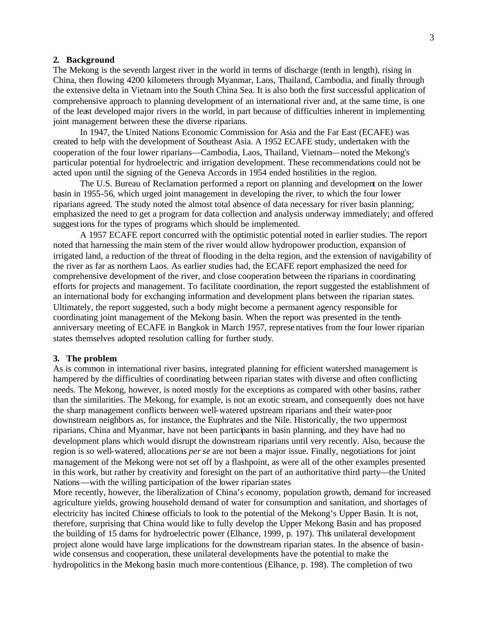# **2. Background**

The Mekong is the seventh largest river in the world in terms of discharge (tenth in length), rising in China, then flowing 4200 kilometers through Myanmar, Laos, Thailand, Cambodia, and finally through the extensive delta in Vietnam into the South China Sea. It is also both the first successful application of comprehensive approach to planning development of an international river and, at the same time, is one of the least developed major rivers in the world, in part because of difficulties inherent in implementing joint management between these the diverse riparians.

In 1947, the United Nations Economic Commission for Asia and the Far East (ECAFE) was created to help with the development of Southeast Asia. A 1952 ECAFE study, undertaken with the cooperation of the four lower riparians—Cambodia, Laos, Thailand, Vietnam—noted the Mekong's particular potential for hydroelectric and irrigation development. These recommendations could not be acted upon until the signing of the Geneva Accords in 1954 ended hostilities in the region.

The U.S. Bureau of Reclamation performed a report on planning and development on the lower basin in 1955-56, which urged joint management in developing the river, to which the four lower riparians agreed. The study noted the almost total absence of data necessary for river basin planning; emphasized the need to get a program for data collection and analysis underway immediately; and offered suggestions for the types of programs which should be implemented.

A 1957 ECAFE report concurred with the optimistic potential noted in earlier studies. The report noted that harnessing the main stem of the river would allow hydropower production, expansion of irrigated land, a reduction of the threat of flooding in the delta region, and the extension of navigability of the river as far as northern Laos. As earlier studies had, the ECAFE report emphasized the need for comprehensive development of the river, and close cooperation between the riparians in coordinating efforts for projects and management. To facilitate coordination, the report suggested the establishment of an international body for exchanging information and development plans between the riparian states. Ultimately, the report suggested, such a body might become a permanent agency responsible for coordinating joint management of the Mekong basin. When the report was presented in the tenthanniversary meeting of ECAFE in Bangkok in March 1957, represe ntatives from the four lower riparian states themselves adopted resolution calling for further study.

#### **3. The problem**

As is common in international river basins, integrated planning for efficient watershed management is hampered by the difficulties of coordinating between riparian states with diverse and often conflicting needs. The Mekong, however, is noted mostly for the exceptions as compared with other basins, rather than the similarities. The Mekong, for example, is not an exotic stream, and consequently does not have the sharp management conflicts between well-watered upstream riparians and their water-poor downstream neighbors as, for instance, the Euphrates and the Nile. Historically, the two uppermost riparians, China and Myanmar, have not been participants in basin planning, and they have had no development plans which would disrupt the downstream riparians until very recently. Also, because the region is so well-watered, allocations *per se* are not been a major issue. Finally, negotiations for joint management of the Mekong were not set off by a flashpoint, as were all of the other examples presented in this work, but rather by creativity and foresight on the part of an authoritative third party—the United Nations—with the willing participation of the lower riparian states

More recently, however, the liberalization of China's economy, population growth, demand for increased agriculture yields, growing household demand of water for consumption and sanitation, and shortages of electricity has incited Chinese officials to look to the potential of the Mekong's Upper Basin. It is not, therefore, surprising that China would like to fully develop the Upper Mekong Basin and has proposed the building of 15 dams for hydroelectric power (Elhance, 1999, p. 197). This unilateral development project alone would have large implications for the downstream riparian states. In the absence of basinwide consensus and cooperation, these unilateral developments have the potential to make the hydropolitics in the Mekong basin much more contentious (Elhance, p. 198). The completion of two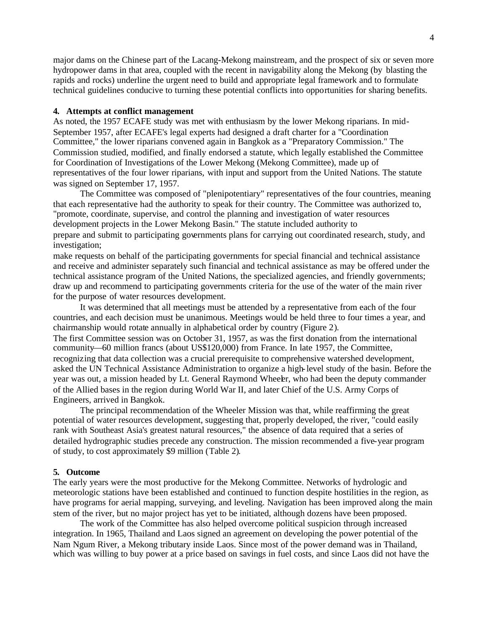major dams on the Chinese part of the Lacang-Mekong mainstream, and the prospect of six or seven more hydropower dams in that area, coupled with the recent in navigability along the Mekong (by blasting the rapids and rocks) underline the urgent need to build and appropriate legal framework and to formulate technical guidelines conducive to turning these potential conflicts into opportunities for sharing benefits.

#### **4. Attempts at conflict management**

As noted, the 1957 ECAFE study was met with enthusiasm by the lower Mekong riparians. In mid-September 1957, after ECAFE's legal experts had designed a draft charter for a "Coordination Committee," the lower riparians convened again in Bangkok as a "Preparatory Commission." The Commission studied, modified, and finally endorsed a statute, which legally established the Committee for Coordination of Investigations of the Lower Mekong (Mekong Committee), made up of representatives of the four lower riparians, with input and support from the United Nations. The statute was signed on September 17, 1957.

The Committee was composed of "plenipotentiary" representatives of the four countries, meaning that each representative had the authority to speak for their country. The Committee was authorized to, "promote, coordinate, supervise, and control the planning and investigation of water resources development projects in the Lower Mekong Basin." The statute included authority to prepare and submit to participating governments plans for carrying out coordinated research, study, and investigation;

make requests on behalf of the participating governments for special financial and technical assistance and receive and administer separately such financial and technical assistance as may be offered under the technical assistance program of the United Nations, the specialized agencies, and friendly governments; draw up and recommend to participating governments criteria for the use of the water of the main river for the purpose of water resources development.

It was determined that all meetings must be attended by a representative from each of the four countries, and each decision must be unanimous. Meetings would be held three to four times a year, and chairmanship would rotate annually in alphabetical order by country (Figure 2). The first Committee session was on October 31, 1957, as was the first donation from the international community—60 million francs (about US\$120,000) from France. In late 1957, the Committee, recognizing that data collection was a crucial prerequisite to comprehensive watershed development, asked the UN Technical Assistance Administration to organize a high-level study of the basin. Before the year was out, a mission headed by Lt. General Raymond Wheeler, who had been the deputy commander of the Allied bases in the region during World War II, and later Chief of the U.S. Army Corps of

Engineers, arrived in Bangkok.

The principal recommendation of the Wheeler Mission was that, while reaffirming the great potential of water resources development, suggesting that, properly developed, the river, "could easily rank with Southeast Asia's greatest natural resources," the absence of data required that a series of detailed hydrographic studies precede any construction. The mission recommended a five-year program of study, to cost approximately \$9 million (Table 2).

#### **5. Outcome**

The early years were the most productive for the Mekong Committee. Networks of hydrologic and meteorologic stations have been established and continued to function despite hostilities in the region, as have programs for aerial mapping, surveying, and leveling. Navigation has been improved along the main stem of the river, but no major project has yet to be initiated, although dozens have been proposed.

The work of the Committee has also helped overcome political suspicion through increased integration. In 1965, Thailand and Laos signed an agreement on developing the power potential of the Nam Ngum River, a Mekong tributary inside Laos. Since most of the power demand was in Thailand, which was willing to buy power at a price based on savings in fuel costs, and since Laos did not have the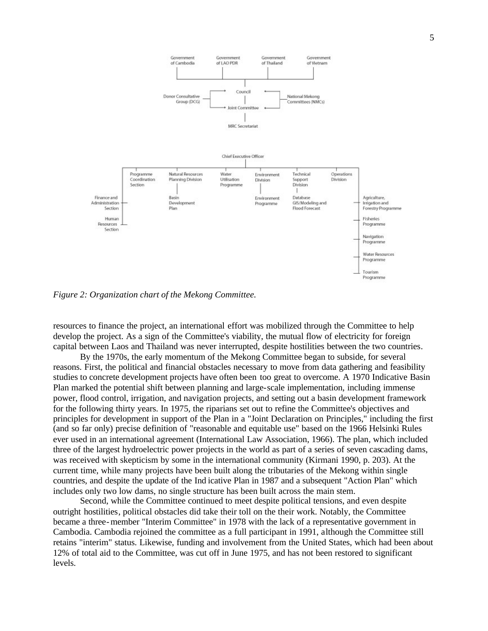

*Figure 2: Organization chart of the Mekong Committee.*

resources to finance the project, an international effort was mobilized through the Committee to help develop the project. As a sign of the Committee's viability, the mutual flow of electricity for foreign capital between Laos and Thailand was never interrupted, despite hostilities between the two countries.

By the 1970s, the early momentum of the Mekong Committee began to subside, for several reasons. First, the political and financial obstacles necessary to move from data gathering and feasibility studies to concrete development projects have often been too great to overcome. A 1970 Indicative Basin Plan marked the potential shift between planning and large-scale implementation, including immense power, flood control, irrigation, and navigation projects, and setting out a basin development framework for the following thirty years. In 1975, the riparians set out to refine the Committee's objectives and principles for development in support of the Plan in a "Joint Declaration on Principles," including the first (and so far only) precise definition of "reasonable and equitable use" based on the 1966 Helsinki Rules ever used in an international agreement (International Law Association, 1966). The plan, which included three of the largest hydroelectric power projects in the world as part of a series of seven cascading dams, was received with skepticism by some in the international community (Kirmani 1990, p. 203). At the current time, while many projects have been built along the tributaries of the Mekong within single countries, and despite the update of the Ind icative Plan in 1987 and a subsequent "Action Plan" which includes only two low dams, no single structure has been built across the main stem.

Second, while the Committee continued to meet despite political tensions, and even despite outright hostilities, political obstacles did take their toll on the their work. Notably, the Committee became a three-member "Interim Committee" in 1978 with the lack of a representative government in Cambodia. Cambodia rejoined the committee as a full participant in 1991, although the Committee still retains "interim" status. Likewise, funding and involvement from the United States, which had been about 12% of total aid to the Committee, was cut off in June 1975, and has not been restored to significant levels.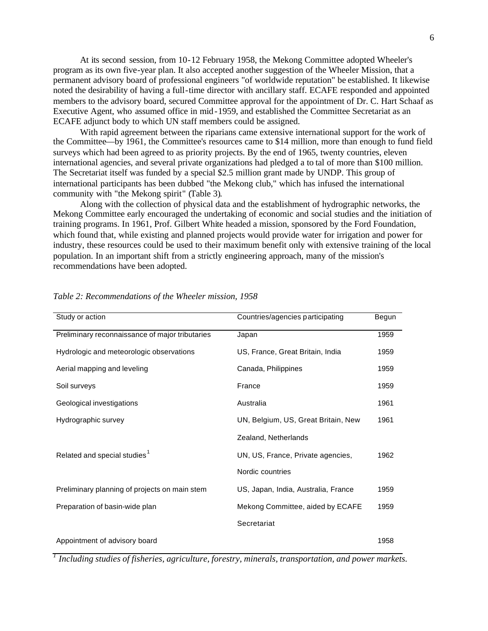At its second session, from 10-12 February 1958, the Mekong Committee adopted Wheeler's program as its own five-year plan. It also accepted another suggestion of the Wheeler Mission, that a permanent advisory board of professional engineers "of worldwide reputation" be established. It likewise noted the desirability of having a full-time director with ancillary staff. ECAFE responded and appointed members to the advisory board, secured Committee approval for the appointment of Dr. C. Hart Schaaf as Executive Agent, who assumed office in mid-1959, and established the Committee Secretariat as an ECAFE adjunct body to which UN staff members could be assigned.

With rapid agreement between the riparians came extensive international support for the work of the Committee—by 1961, the Committee's resources came to \$14 million, more than enough to fund field surveys which had been agreed to as priority projects. By the end of 1965, twenty countries, eleven international agencies, and several private organizations had pledged a to tal of more than \$100 million. The Secretariat itself was funded by a special \$2.5 million grant made by UNDP. This group of international participants has been dubbed "the Mekong club," which has infused the international community with "the Mekong spirit" (Table 3).

Along with the collection of physical data and the establishment of hydrographic networks, the Mekong Committee early encouraged the undertaking of economic and social studies and the initiation of training programs. In 1961, Prof. Gilbert White headed a mission, sponsored by the Ford Foundation, which found that, while existing and planned projects would provide water for irrigation and power for industry, these resources could be used to their maximum benefit only with extensive training of the local population. In an important shift from a strictly engineering approach, many of the mission's recommendations have been adopted.

| Study or action                                 | Countries/agencies participating    | Begun |
|-------------------------------------------------|-------------------------------------|-------|
| Preliminary reconnaissance of major tributaries | Japan                               | 1959  |
| Hydrologic and meteorologic observations        | US, France, Great Britain, India    | 1959  |
| Aerial mapping and leveling                     | Canada, Philippines                 | 1959  |
| Soil surveys                                    | France                              | 1959  |
| Geological investigations                       | Australia                           | 1961  |
| Hydrographic survey                             | UN, Belgium, US, Great Britain, New | 1961  |
|                                                 | Zealand, Netherlands                |       |
| Related and special studies <sup>1</sup>        | UN, US, France, Private agencies,   | 1962  |
|                                                 | Nordic countries                    |       |
| Preliminary planning of projects on main stem   | US, Japan, India, Australia, France | 1959  |
| Preparation of basin-wide plan                  | Mekong Committee, aided by ECAFE    | 1959  |
|                                                 | Secretariat                         |       |
| Appointment of advisory board                   |                                     | 1958  |

#### *Table 2: Recommendations of the Wheeler mission, 1958*

*1 Including studies of fisheries, agriculture, forestry, minerals, transportation, and power markets.*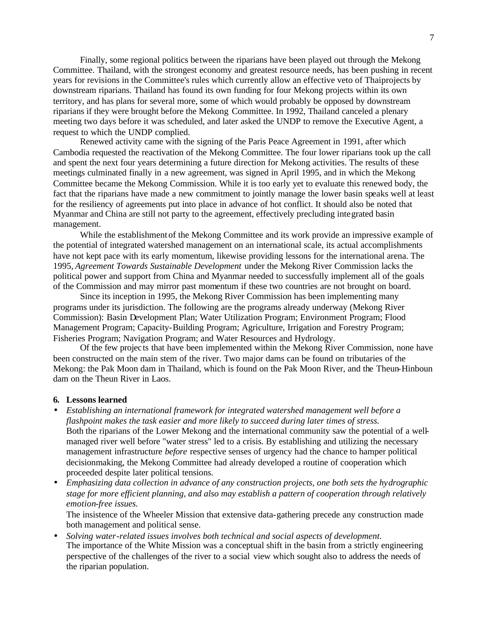Finally, some regional politics between the riparians have been played out through the Mekong Committee. Thailand, with the strongest economy and greatest resource needs, has been pushing in recent years for revisions in the Committee's rules which currently allow an effective veto of Thai projects by downstream riparians. Thailand has found its own funding for four Mekong projects within its own territory, and has plans for several more, some of which would probably be opposed by downstream riparians if they were brought before the Mekong Committee. In 1992, Thailand canceled a plenary meeting two days before it was scheduled, and later asked the UNDP to remove the Executive Agent, a request to which the UNDP complied.

Renewed activity came with the signing of the Paris Peace Agreement in 1991, after which Cambodia requested the reactivation of the Mekong Committee. The four lower riparians took up the call and spent the next four years determining a future direction for Mekong activities. The results of these meetings culminated finally in a new agreement, was signed in April 1995, and in which the Mekong Committee became the Mekong Commission. While it is too early yet to evaluate this renewed body, the fact that the riparians have made a new commitment to jointly manage the lower basin speaks well at least for the resiliency of agreements put into place in advance of hot conflict. It should also be noted that Myanmar and China are still not party to the agreement, effectively precluding integrated basin management.

While the establishment of the Mekong Committee and its work provide an impressive example of the potential of integrated watershed management on an international scale, its actual accomplishments have not kept pace with its early momentum, likewise providing lessons for the international arena. The 1995, *Agreement Towards Sustainable Development* under the Mekong River Commission lacks the political power and support from China and Myanmar needed to successfully implement all of the goals of the Commission and may mirror past momentum if these two countries are not brought on board.

Since its inception in 1995, the Mekong River Commission has been implementing many programs under its jurisdiction. The following are the programs already underway (Mekong River Commission): Basin Development Plan; Water Utilization Program; Environment Program; Flood Management Program; Capacity-Building Program; Agriculture, Irrigation and Forestry Program; Fisheries Program; Navigation Program; and Water Resources and Hydrology.

Of the few projec ts that have been implemented within the Mekong River Commission, none have been constructed on the main stem of the river. Two major dams can be found on tributaries of the Mekong: the Pak Moon dam in Thailand, which is found on the Pak Moon River, and the Theun-Hinboun dam on the Theun River in Laos.

### **6. Lessons learned**

- *Establishing an international framework for integrated watershed management well before a flashpoint makes the task easier and more likely to succeed during later times of stress.* Both the riparians of the Lower Mekong and the international community saw the potential of a wellmanaged river well before "water stress" led to a crisis. By establishing and utilizing the necessary management infrastructure *before* respective senses of urgency had the chance to hamper political decisionmaking, the Mekong Committee had already developed a routine of cooperation which proceeded despite later political tensions.
- *Emphasizing data collection in advance of any construction projects, one both sets the hydrographic stage for more efficient planning, and also may establish a pattern of cooperation through relatively emotion-free issues.*

The insistence of the Wheeler Mission that extensive data-gathering precede any construction made both management and political sense.

• *Solving water-related issues involves both technical and social aspects of development.* The importance of the White Mission was a conceptual shift in the basin from a strictly engineering perspective of the challenges of the river to a social view which sought also to address the needs of the riparian population.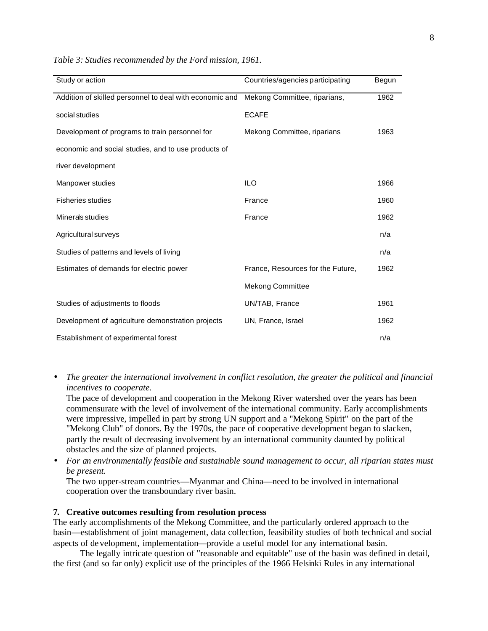| Study or action                                         | Countries/agencies participating  | Begun |
|---------------------------------------------------------|-----------------------------------|-------|
| Addition of skilled personnel to deal with economic and | Mekong Committee, riparians,      | 1962  |
| social studies                                          | <b>ECAFE</b>                      |       |
| Development of programs to train personnel for          | Mekong Committee, riparians       | 1963  |
| economic and social studies, and to use products of     |                                   |       |
| river development                                       |                                   |       |
| Manpower studies                                        | <b>ILO</b>                        | 1966  |
| <b>Fisheries studies</b>                                | France                            | 1960  |
| Minerals studies                                        | France                            | 1962  |
| Agricultural surveys                                    |                                   | n/a   |
| Studies of patterns and levels of living                |                                   | n/a   |
| Estimates of demands for electric power                 | France, Resources for the Future, | 1962  |
|                                                         | <b>Mekong Committee</b>           |       |
| Studies of adjustments to floods                        | UN/TAB, France                    | 1961  |
| Development of agriculture demonstration projects       | UN, France, Israel                | 1962  |
| Establishment of experimental forest                    |                                   | n/a   |

*Table 3: Studies recommended by the Ford mission, 1961.*

• *The greater the international involvement in conflict resolution, the greater the political and financial incentives to cooperate.*

The pace of development and cooperation in the Mekong River watershed over the years has been commensurate with the level of involvement of the international community. Early accomplishments were impressive, impelled in part by strong UN support and a "Mekong Spirit" on the part of the "Mekong Club" of donors. By the 1970s, the pace of cooperative development began to slacken, partly the result of decreasing involvement by an international community daunted by political obstacles and the size of planned projects.

• *For an environmentally feasible and sustainable sound management to occur, all riparian states must be present.* 

The two upper-stream countries—Myanmar and China—need to be involved in international cooperation over the transboundary river basin.

# **7. Creative outcomes resulting from resolution process**

The early accomplishments of the Mekong Committee, and the particularly ordered approach to the basin—establishment of joint management, data collection, feasibility studies of both technical and social aspects of development, implementation—provide a useful model for any international basin.

The legally intricate question of "reasonable and equitable" use of the basin was defined in detail, the first (and so far only) explicit use of the principles of the 1966 Helsinki Rules in any international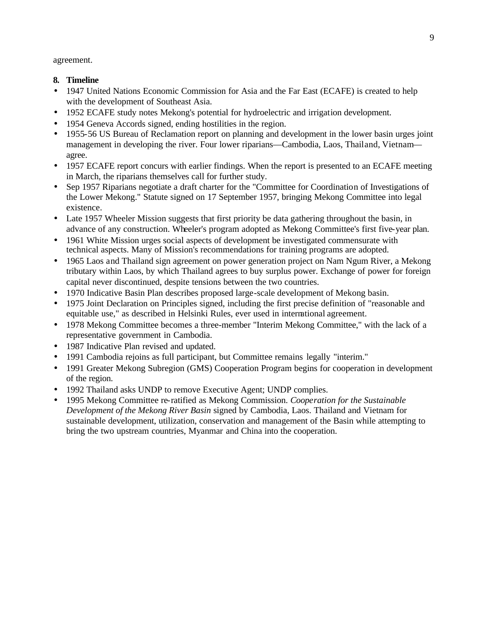agreement.

- **8. Timeline**
- 1947 United Nations Economic Commission for Asia and the Far East (ECAFE) is created to help with the development of Southeast Asia.
- 1952 ECAFE study notes Mekong's potential for hydroelectric and irrigation development.
- 1954 Geneva Accords signed, ending hostilities in the region.
- 1955-56 US Bureau of Reclamation report on planning and development in the lower basin urges joint management in developing the river. Four lower riparians—Cambodia, Laos, Thailand, Vietnam agree.
- 1957 ECAFE report concurs with earlier findings. When the report is presented to an ECAFE meeting in March, the riparians themselves call for further study.
- Sep 1957 Riparians negotiate a draft charter for the "Committee for Coordination of Investigations of the Lower Mekong." Statute signed on 17 September 1957, bringing Mekong Committee into legal existence.
- Late 1957 Wheeler Mission suggests that first priority be data gathering throughout the basin, in advance of any construction. Wheeler's program adopted as Mekong Committee's first five-year plan.
- 1961 White Mission urges social aspects of development be investigated commensurate with technical aspects. Many of Mission's recommendations for training programs are adopted.
- 1965 Laos and Thailand sign agreement on power generation project on Nam Ngum River, a Mekong tributary within Laos, by which Thailand agrees to buy surplus power. Exchange of power for foreign capital never discontinued, despite tensions between the two countries.
- 1970 Indicative Basin Plan describes proposed large-scale development of Mekong basin.
- 1975 Joint Declaration on Principles signed, including the first precise definition of "reasonable and equitable use," as described in Helsinki Rules, ever used in international agreement.
- 1978 Mekong Committee becomes a three-member "Interim Mekong Committee," with the lack of a representative government in Cambodia.
- 1987 Indicative Plan revised and updated.
- 1991 Cambodia rejoins as full participant, but Committee remains legally "interim."
- 1991 Greater Mekong Subregion (GMS) Cooperation Program begins for cooperation in development of the region.
- 1992 Thailand asks UNDP to remove Executive Agent; UNDP complies.
- 1995 Mekong Committee re-ratified as Mekong Commission. *Cooperation for the Sustainable Development of the Mekong River Basin* signed by Cambodia, Laos. Thailand and Vietnam for sustainable development, utilization, conservation and management of the Basin while attempting to bring the two upstream countries, Myanmar and China into the cooperation.